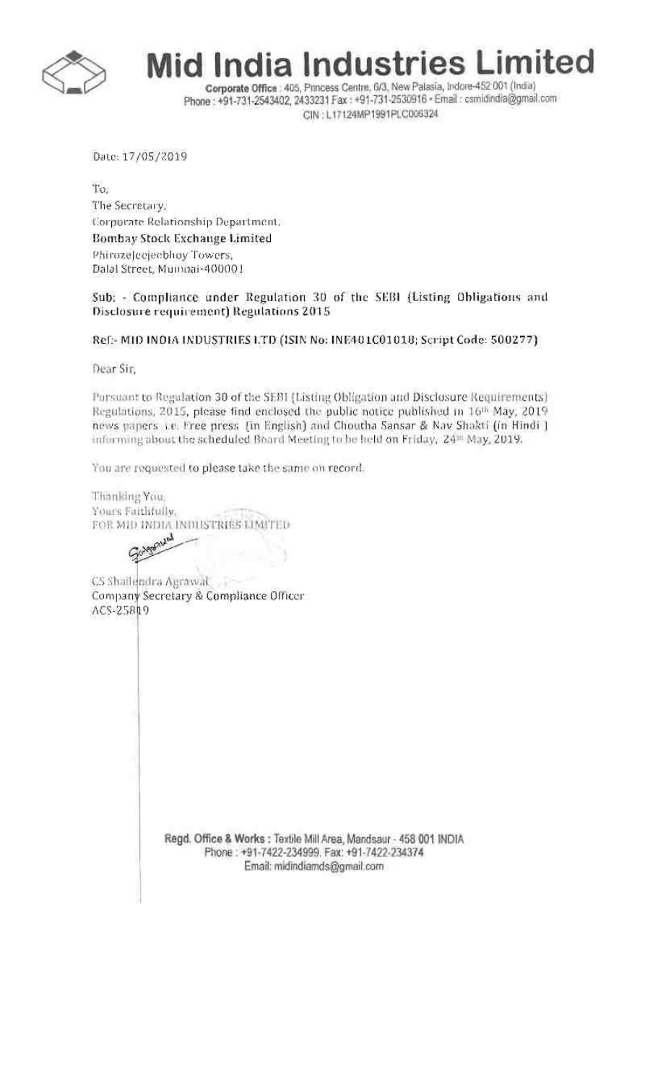

**Mid India Industries Limited** 

Corporate Office : 405, Princess Centre, 6/3, New Palasia, Indore-452 001 (India) Phone: +91-731-2543402, 2433231 Fax: +91-731-2530916 · Email: csmidindia@gmail.com CIN: L17124MP1991PLC006324

Date: 17/05/2019

To. The Secretary, Corporate Relationship Department. Bombay Stock Exchange Limited PhirozeJecjecbhoy Towers; Dalal Street, Mumbai-400001

Sub: - Compliance under Regulation 30 of the SEBI (Listing Obligations and Disclosure requirement) Regulations 2015

Ref:- MID INDIA INDUSTRIES LTD (ISIN No: INE401C01018; Script Code: 500277)

Dear Sir,

Pursuant to Regulation 30 of the SEBI (Listing Obligation and Disclosure Requirements) Regulations, 2015, please find enclosed the public notice published in 16<sup>th</sup> May, 2019 news papers i.e. Free press [in English] and Choutha Sansar & Nav Shakti (in Hindi ] informing about the scheduled Board Meeting to be held on Friday, 24<sup>th</sup> May, 2019.

You are requested to please take the same on record.

Thanking You, Yours Faithfully, FOR MID INDIA INDUSTRIES LIMITED

Golfoniand

CS Shailendra Agrawal 528 Company Secretary & Compliance Officer ACS-25819

> Regd. Office & Works : Textile Mill Area, Mandsaur - 458 001 INDIA Phone: +91-7422-234999. Fax: +91-7422-234374 Email: midindiamds@gmail.com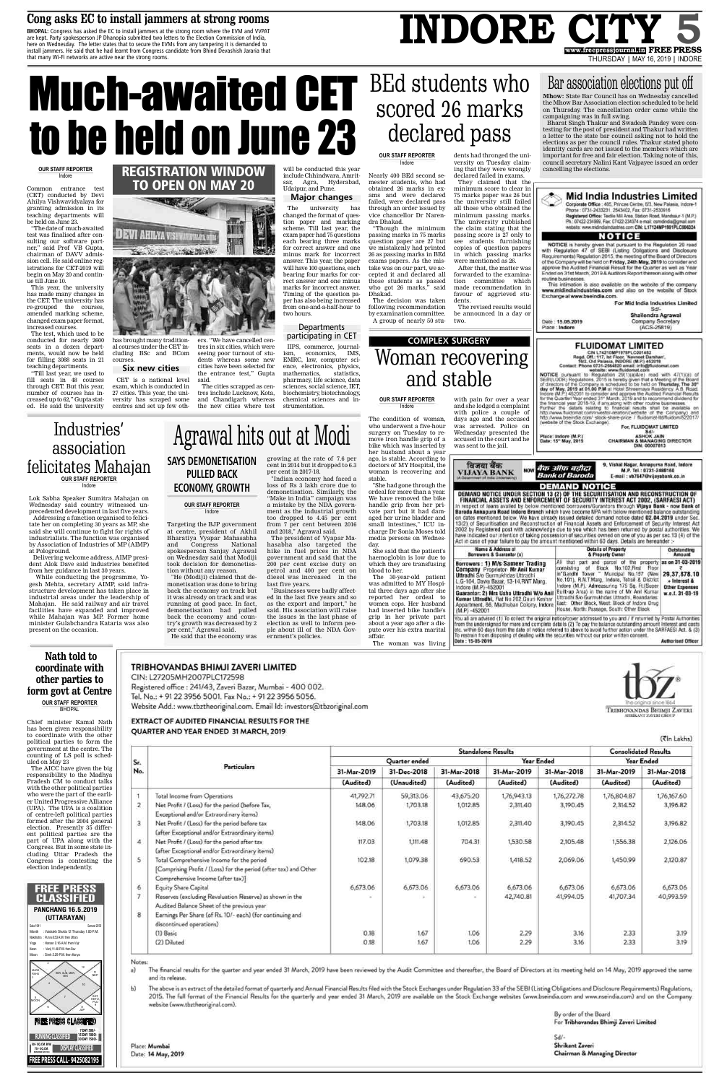## Cong asks EC to install jammers at strong rooms

BHOPAL: Congress has asked the EC to install jammers at the strong room where the EVM and VVPAT are kept. Party spokesperson JP Dhanopia submitted two letters to the Election Commission of India, here on Wednesday. The letter states that to secure the EVMs from any tampering it is demanded to install jammers. He said that he had learnt from Congress candidate from Bhind Devashish Jararia that that many Wi-Fi networks are active near the strong rooms.

## INDORE CITY www.freepressjournal.in FREE PRESS THURSDAY | MAY 16, 2019 | INDORE

# **Much-awaited CET** to be held on June 23

#### **OUR STAFF REPORTER** Indore

Common entrance test (CET) conducted by Devi Ahilya Vishwavidyalaya for granting admission in its teaching departments will be held on June 23.

"The date of much-awaited" test was finalised after consulting our software partner," said Prof VB Gupta, chairman of DAVV admission cell. He said online registrations for CET-2019 will begin on May 20 and continue till June 10.

This year, the university has made many changes in the CET. The university has re-grouped the courses, amended marking scheme, changed exam paper format, increased courses.

The test, which used to be conducted for nearly 2600 seats in a dozen departments, would now be held for filling 3088 seats in 21 courses. teaching departments.

"Till last year, we used to fill seats in 48 courses through CET. But this year, number of courses has increased up to 62," Gupta stated. He said the university

## **REGISTRATION WINDOW TO OPEN ON MAY 20**



has brought many traditioners. "We have cancelled cenal courses under the CET intres in six cities, which were cluding BSc and BCom seeing poor turnout of students whereas some new cities have been selected for Six new cities the entrance test," Gupta

**PULLED BACK** 

**ECONOMY, GROWTH** 

**OUR STAFF REPORTER** 

Indore

Targeting the BJP government

at centre, president of Akhil

Bharatiya Vyapar Mahasabha

spokesperson Sanjay Agrawal

on Wednesday said that Modiji

took decision for demonetisa-

"He (Modiji) claimed that de-

monetisation was done to bring

back the economy on track but

it was already on track and was

running at good pace. In fact,

demonetisation had pulled

back the economy and coun-

try's growth was decreased by 2

He said that the economy was

National

Congress

tion without any reason.

per cent," Agrawal said.

CET is a national level said. exam, which is conducted in The cities scrapped as centres include Lucknow, Kota, 27 cities. This year, the university has scraped some and Chandigarh whereas the new cities where test centres and set up few oth-

and

will be conducted this year include Chhindwara, Amritsar, Agra, Hyderabad, Udaipur, and Pune.

## **Major changes**

university has The changed the format of question paper and marking scheme. Till last year, the exam paper had 75 questions each bearing three marks for correct answer and one minus mark for incorrect answer. This year, the paper will have 100 questions, each bearing four marks for correct answer and one minus marks for incorrect answer. Timing of the question paper has also being increased from one-and-a-half-hour to two hours.

## Departments participating in CET

IIPS, commerce, journaleconomics, IMS, ism, EMRC, law, computer science, electronics, physics, statistics, mathematics, pharmacy, life science, data sciences, social science, IET. biochemistry, biotechnology, chemical sciences and instrumentation.

# **BEd students who** scored 26 marks declared pass

dents had thronged the uni-

declared failed in exams.

They claimed that the

minimum score to clear in

75 marks paper was 26 but

the university still failed

all those who obtained the

minimum passing marks.

The university rubbished

the claim stating that the

passing score is 27 only to

see students furnishing

copies of question papers

in which passing marks

After that, the matter was

forwarded to the examina-

tion committee which

made recommendation in

favour of aggrieved stu-

The revised results would

be announced in a day or

were mentioned as 26.

#### **OUR STAFF REPORTER**

versity on Tuesday claim-Indore ing that they were wrongly

Nearly 400 BEd second semester students, who had obtained 26 marks in exams and were declared failed, were declared pass through an order issued by vice chancellor Dr Narendra Dhakad.

"Though the minimum passing marks in 75 marks question paper are 27 but we mistakenly had printed 26 as passing marks in BEd exams papers. As the mistake was on our part, we accepted it and declared all those students as passed who got 26 marks," said Dhakad.

The decision was taken following recommendation by examination committee. A group of nearly 50 stu-

# **COMPLEX SURGERY** Woman recovering and stable

dents.

two.

#### **OUR STAFF REPORTER** Indore

The condition of woman, who underwent a five-hour surgery on Tuesday to re-

# Bar association elections put off

Mhow: State Bar Council has on Wednesday cancelled the Mhow Bar Association election scheduled to be held on Thursday. The cancellation order came while the campaigning was in full swing.

Bharat Singh Thakur and Swadesh Pandey were contesting for the post of president and Thakur had written a letter to the state bar council asking not to hold the elections as per the council rules. Thakur stated photo identity cards are not issued to the members which are important for free and fair election. Taking note of this, council secretary Nalini Kant Vajpayee issued an order cancelling the elections.



Corporate Office : 405, Princes Centre, 6/3, New Palasia, Indore-1 Phone: 0731-2433231, 2543402, Fax: 0731-2530916 Registered Office: Textile Mill Area. Station Road, Mandsaur-1 (M.P.) Ph.: 07422-234999, Fax: 07422-234374 e-mail: csmdindia@gmail.com website: www.midindiaindustries.com CIN: L17124MP1991PLC006324

## **NOTICE**

NOTICE is hereby given that pursuant to the Regulation 29 read with Regulation 47 of SEBI (Listing Obligations and Disclosure Requirements) Regulation 2015, the meeting of the Board of Directors of the Company will be held on Friday, 24th May, 2019 to consider and approve the Audited Financial Result for the Quarter as well as Year Ended on 31st March, 2019 & Auditors Report thereon along with other routine businesses.

This intimation is also available on the website of the company www.midindiaindustries.com and also on the website of Stock Exchange at www.bseindia.com

> For Mid India Industries Limited Sd/-Shailendra Agrawal Company Secretary (ACS-25819)



## association felicitates Mahajan **OUR STAFF REPORTER** Indore

Industries'

Lok Sabha Speaker Sumitra Mahajan on Wednesday said country witnessed unprecedented development in last five years.

Addressing a function organised to felicitate her on completing 30 years as MP, she said she will continue to fight for rights of industrialists. The function was organised by Association of Industries of MP (AIMP) at Pologround.

Delivering welcome address, AIMP president Alok Dave said industries benefited from her guidance in last 30 years.

While conducting the programme, Yogesh Mehta, secretary AIMP, said infrastructure development has taken place in industrial areas under the leadership of Mahajan. He said railway and air travel facilities have expanded and improved while Mahajan was MP. Former home minister Gulabchandra Kataria was also present on the occasion.

Nath told to coordinate with other parties to form govt at Centre **OUR STAFF REPORTER BHOPAL** 

Chief minister Kamal Nath has been given responsibility to coordinate with the other political parties to form the government at the counting of LS p uled on May 23

**FREE PRESS CLASSIFIED** 

**FREE PRESS CALL-9425082195** 

**RUNNING CLASSIFIED** 

50/- SQ.CM. B/W.

 $75/-$  SQ.CM.

7 DAY 500/ **15 DAY 1000/-**<br>30 DAY 1500/-

**DISPLAY CLASSIFIED** 

MOON

# Agrawal hits out at Modi

**SAYS DEMONETISATION** growing at the rate of 7.6 per cent in 2014 but it dropped to 6.3 per cent in 2017-18.

"Indian economy had faced a loss of Rs 3 lakh crore due to demonetisation. Similarly, the "Make in India" campaign was a mistake by the NDA government as the industrial growth too dropped to 4.45 per cent from 7 per cent between 2016 and 2018," Agrawal said.

The president of Vyapar Mahasabha also targeted the hike in fuel prices in NDA government and said that the 200 per cent excise duty on petrol and 400 per cent on diesel was increased in the last five years.

"Businesses were badly affected in the last five years and so as the export and import," he said. His association will raise the issues in the last phase of election as well to inform people about ill of the NDA Government's policies.

move iron handle grip of a bike which was inserted by

her husband about a year ago, is stable. According to doctors of MY Hospital, the woman is recovering and stable. "She had gone through the

ordeal for more than a year. We have removed the bike handle grip from her private part but it had damaged her urine bladder and small intestines," ICU incharge Dr Sonia Moses told media persons on Wednesday.

She said that the patient haemoglobin is low due which they are transfusii blood to her.

The 30-year-old patien was admitted to MY Hos tal three days ago after sl reported her ordeal women cops. Her husba: had inserted bike handl grip in her private pa about a year ago after a d pute over his extra marita affair.

| accused in the court and he<br>was sent to the jail. |  | Date: 15" May, 2019.                  | CHAIRMAN & MANAGING DIRECTOR<br>DIN: 00007813                                                                                                                                                                                                                                                                                                                                                                                                                                                                                                                                                                                                                                                                                                                                                                                                                                                                                |
|------------------------------------------------------|--|---------------------------------------|------------------------------------------------------------------------------------------------------------------------------------------------------------------------------------------------------------------------------------------------------------------------------------------------------------------------------------------------------------------------------------------------------------------------------------------------------------------------------------------------------------------------------------------------------------------------------------------------------------------------------------------------------------------------------------------------------------------------------------------------------------------------------------------------------------------------------------------------------------------------------------------------------------------------------|
| विजया बक<br><b>VIJAYA BANK</b>                       |  | www बैंक ऑफ़ बड़ीदा<br>Bank of Baroda | 9, Vishal Nagar, Annapurna Road, Indore<br>M.P. Tel.: 0731-2480160<br>E-mail: vh7647@vijayahank.co.in                                                                                                                                                                                                                                                                                                                                                                                                                                                                                                                                                                                                                                                                                                                                                                                                                        |
|                                                      |  | <b>DEMAND NOTICE</b>                  |                                                                                                                                                                                                                                                                                                                                                                                                                                                                                                                                                                                                                                                                                                                                                                                                                                                                                                                              |
|                                                      |  |                                       | DEMAND NOTICE UNDER SECTION 13 (2) OF THE SECURITISATION AND RECONSTRUCTION OF<br>FINANCIAL ASSETS AND ENFORCEMENT OF SECURITY INTEREST ACT 2002, (SARFAESI ACT)<br>In respect of loans availed by below mentioned borrowers/Gurantors through Vijaya Bank - now Bank of<br>Baroda Annapura Road Indore Branch which have become NPA with below mentioned balance outstanding<br>on dates mentioned below. We have already issued detailed demand notice dated 02.04.2019 under Sec.<br>13(2) of Securitisation and Reconstruction of Financial Assets and Enforcement of Security Interest Act<br>2002 by Registered post with acknowledge due to you which has been returned by postal authorities. We<br>have indicated our intention of taking possession of securities owned on one of you as per sec.13 (4) of the<br>Act in case of your failure to pay the amount mentioned within 60 days. Details are hereunder :- |

Date: 15.05.2019

Place: Indore

| Name & Address of                                                                                                                                                                                                                                                                                                                 | <b>Details of Property</b>                                                                                                                                                                                                                                                                                                                                                                                                            | Outstanding                                                                                                                 |
|-----------------------------------------------------------------------------------------------------------------------------------------------------------------------------------------------------------------------------------------------------------------------------------------------------------------------------------|---------------------------------------------------------------------------------------------------------------------------------------------------------------------------------------------------------------------------------------------------------------------------------------------------------------------------------------------------------------------------------------------------------------------------------------|-----------------------------------------------------------------------------------------------------------------------------|
| Borrowers & Guarantor (s)                                                                                                                                                                                                                                                                                                         | & Property Owner                                                                                                                                                                                                                                                                                                                                                                                                                      | Amount                                                                                                                      |
| Borrowers: 1) M/s Sameer Trading<br>Company Proprietor- Mr Anil Kumar<br>Uttradhi S/o Gurmukhdas Uttradhi<br>L.G-104, Dawa Bazar, 13-14, RNT Marg.<br>Indore (M.P)-452001<br>Guarantor: 2) Mrs Usha Uttradhi W/o Anil<br>Kumar Uttradhi, Flat No.202, Gauri Keshar.<br>Appartment, 66, Madhuban Colony, Indore<br>$(M.P) -452001$ | and parcel of the<br>All<br>that<br>part<br>Block No.102 First<br>consisting<br>Floor<br>or<br>in"Gandhi Tower " Muncipal No.157 (New<br>No.191), R.N.T.Marg, Indore, Tehsil & District<br>Indore (M.P), Admeasuring 175 Sq. Ft.(Super<br>Built-up Area) in the name of Mr Anil Kumar<br>Uttradhi S/o Gurmukhdas Uttradhi, Boundaries:<br>East: Other Block, West: Block of Indore Drug<br>House, North: Passage, South: Other Block. | property as on 31-03-2019<br>29,37,878.10<br>$+$ Interest $\boldsymbol{\delta}$<br><b>Other Expenses</b><br>w.e.f. 31-03-19 |

To restrain from disposing of dealing with the securities without our prior written consent. Date: 15-05-2019 **Authorised Officer** 

The woman was living



(Tin Lakhs)

## TRIBHOVANDAS BHIMJI ZAVERI LIMITED CIN: L27205MH2007PLC172598

Registered office: 241/43, Zaveri Bazar, Mumbai - 400 002. Tel. No.: + 91 22 3956 5001. Fax No.: + 91 22 3956 5056. Website Add.: www.tbztheoriginal.com. Email Id: investors@tbzoriginal.com

**EXTRACT OF AUDITED FINANCIAL RESULTS FOR THE** QUARTER AND YEAR ENDED 31 MARCH, 2019

|                  |                                                                  |               | <b>Consolidated Results</b> |             |             |             |             |             |  |
|------------------|------------------------------------------------------------------|---------------|-----------------------------|-------------|-------------|-------------|-------------|-------------|--|
| Sr.              | <b>Particulars</b>                                               | Quarter ended |                             |             |             |             |             | Year Ended  |  |
| No.              |                                                                  | 31-Mar-2019   | 31-Dec-2018                 | 31-Mar-2018 | 31-Mar-2019 | 31-Mar-2018 | 31-Mar-2019 | 31-Mar-2018 |  |
|                  |                                                                  | (Audited)     | (Unaudited)                 | (Audited)   | (Audited)   | (Audited)   | (Audited)   | (Audited)   |  |
| 1                | Total Income from Operations                                     | 41,792.71     | 59,313.06                   | 43,675.20   | 1,76,943.13 | 1,76,272.78 | 1,76,804.87 | 1,76,167.60 |  |
| $\sqrt{2}$       | Net Profit / (Loss) for the period (before Tax,                  | 148.06        | 1,703.18                    | 1,012.85    | 2,311.40    | 3,190.45    | 2,314.52    | 3,196.82    |  |
|                  | Exceptional and/or Extraordinary items)                          |               |                             |             |             |             |             |             |  |
| $\overline{3}$   | Net Profit / (Loss) for the period before tax                    | 148,06        | 1,703.18                    | 1,012.85    | 2,311.40    | 3,190.45    | 2,314.52    | 3,196.82    |  |
|                  | (after Exceptional and/or Extraordinary items)                   |               |                             |             |             |             |             |             |  |
| $\boldsymbol{A}$ | Net Profit / (Loss) for the period after tax                     | 117.03        | 1,111,48                    | 704.31      | 1,530.58    | 2,105.48    | 1,556.38    | 2,126.06    |  |
|                  | (after Exceptional and/or Extraordinary items)                   |               |                             |             |             |             |             |             |  |
| 5                | Total Comprehensive Income for the period                        | 102.18        | 1,079.38                    | 690.53      | 1,418.52    | 2,069.06    | 1,450.99    | 2,120.87    |  |
|                  | [Comprising Profit / (Loss) for the period (after tax) and Other |               |                             |             |             |             |             |             |  |
|                  | Comprehensive Income (after tax)]                                |               |                             |             |             |             |             |             |  |
| 6                | <b>Equity Share Capital</b>                                      | 6,673.06      | 6,673.06                    | 6,673.06    | 6,673.06    | 6,673.06    | 6,673.06    | 6,673.06    |  |
| $\overline{7}$   | Reserves (excluding Revaluation Reserve) as shown in the         |               |                             |             | 42,740.81   | 41,994.05   | 41,707.34   | 40,993.59   |  |
|                  | Audited Balance Sheet of the previous year                       |               |                             |             |             |             |             |             |  |
| 8                | Earnings Per Share (of Rs. 10/- each) (for continuing and        |               |                             |             |             |             |             |             |  |
|                  | discontinued operations)                                         |               |                             |             |             |             |             |             |  |
|                  | (1) Basic                                                        | 0.18          | 1.67                        | 1.06        | 2.29        | 3.16        | 2.33        | 3.19        |  |
|                  | (2) Diluted                                                      | 0.18          | 1.67                        | 1.06        | 2.29        | 3.16        | 2.33        | 3.19        |  |
|                  |                                                                  |               |                             |             |             |             |             |             |  |

The above is an extract of the detailed format of quarterly and Annual Financial Results filed with the Stock Exchanges under Regulation 33 of the SEBI (Listing Obligations and Disclosure Requirements) Regulations, b) 2015. The full format of the Financial Results for the quarterly and year ended 31 March, 2019 are available on the Stock Exchange websites (www.bseindia.com and www.nseindia.com) and on the Company. website (www.tbztheoriginal.com).

> By order of the Board For Tribhovandas Bhimji Zaveri Limited

 $Sd/-$ Shrikant Zaveri **Chairman & Managing Director** 

Place: Mumbai Date: 14 May, 2019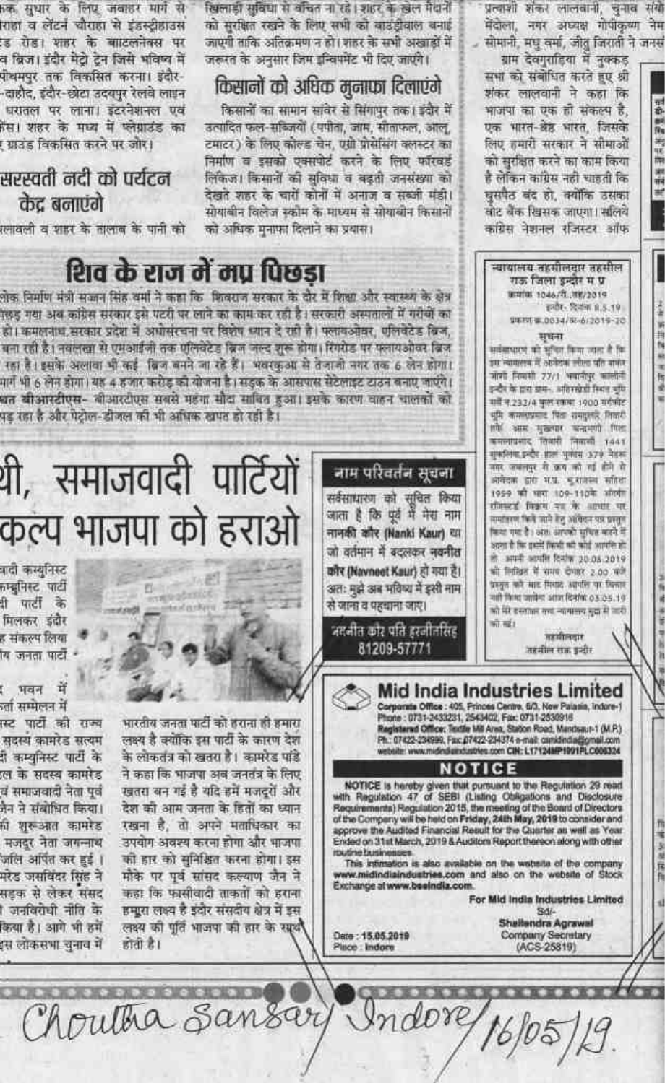6क सुधार के लिए जवाहर मार्ग से राहा व लेंटने चौराहा से इंडस्ट्रीहाउस ड रोड। शहर के बाटलनेक्स पर व ब्रिज। इंदौर मेटो टेन जिसे भविष्य में पौथमपुर तक विकसित करना। इंदौर--दाहौद, इंदौर-छोटा उदयपुर रेलवे लाइन धरातल पर लाना। इंटरनेशनल एवं तेस। शहर के मध्य में प्लेग्नाउंड का ! ग्राउंड विकसित करने पर जोर।

## सरस्वती नदी को पर्यटन केट बनाएंगे

रलावली व शहर के तालाब के पानी को

खिलाड़ी सुविधा से वचित ना रहे। शहर के खेल मैदानें को सरक्षित रखने के लिए सभी को बाउंडीवाल बनाई जाएगी ताकि अतिक्रमण न हो। शहर के सभी अखाड़ों में जरूरत के अनुसार जिम इन्विपमेंट भी दिए जाएंगे।

## किसानों को अधिक मुनाफा दिलाएंगे

किसानों का सामान सांवेर से सिंगापर तक। इंदौर में उत्पादित फल-सब्जियों (पपीता, जाम, साताफल, आल, टमाटर) के लिए कोल्ड चेन, एग्री प्रोसेसिंग क्लस्टर का निर्माण व इसको एक्सपोर्ट करने के लिए फॉरवर्ड लिकिज। किसानों की सुविधा व बढ़ती जनसंख्या को देखते शहर के चारों कोनों में अनाज व सब्जी मंडी। सोयाबीन विलेज स्कीम के माध्यम से सोयाबीन किसानों को अधिक मनाफा दिलाने का प्रयास।

नाम परिवर्तन सूचना

सर्वसाधारण को सुचित किया

जाता है कि पूर्व में मेरा नाम

नामकी कौर (Nanki Kaur) था

जो वर्तमान में बदलकर नवनीत

कौर (Navneet Kaur) हो गया है।

अतः मझे अब मविष्य में इसी नाम

जदनीत कार पति इरनीतरिहर

से जाना व पहचाना जाए।

शिव के राज में मप पिछडा लोक निर्माण मंत्री सज्जन सिंह वर्मा ने कहा कि फिवराज सरकार के दौर में शिक्षा और स्वास्थ्य के क्षेत्र तड़ह गया अब कांग्रेस सरकार इसे पटरी पर लाने का काम कर रही है। सरकारी अस्पतालों में गरीबी का हो। कमलनाथ, सरकार प्रदेश में अभोसंरचना पर विशेष ध्यान दे रही है। फ्लावओवर, एलिवेटेड बिज,

बना रही है। नवलखा से एमआईजी तक एलिवेटेड ब्रिज जल्द शुरू होगा। रिंगरोड पर पलायओवर ब्रिज रहा है। इसके अलावा भी कई बिज बनने जा रहे हैं। भवरकुआ से तेजाजी नगर तक 6 लेन होगा। , मार्ग भी 6 लेन होगा। यह 4 हजार करोड़ को योजना है। सड़क के आसपास सेटेलाइट टाउन बनाए जाएंगे। धत बीआरटीएस- बीआरटीएस सबसे महंगा सौदा साबित हुआ। इसके कारण वाहन चालकों को पड रहा है और पेटोल-डीजल की भी अधिक खपत हो रही है।

थी, समाजवादी पार्टियों कल्प भाजपा को हराओ

वादी कस्यनिस्ट कम्ब्रुनिस्ट पार्टी ी पार्टी के मिलकर इंदौर ह संकल्प लिया चि जनता पार्टी

: भवन में ला सम्मेलन में स्ट पार्टी की राज्य सदस्य कामरेड सत्यम री कम्युनिस्ट पार्टी के ल के सदस्य कामरेड वं समाजवादी नेता पूर्व जैन ने संबोधित किया। गी शुरूआत कामरेड मजदूर नेता जगन्नाथ जलि अपित कर हुई । मरेड जसविंदर सिंह ने सडक से लेकर संसद । जनविरोधी नीति के किया है। आगे भी हमें त्स लोकसभा चनाव में

भारतीय जनता पार्टी को हराना ही हमारा लक्ष्य है क्योंकि इस पार्टी के कारण देश के लोकतंत्र को खतरा है। कामरेड पांडे ने कहा कि भाजपा अब जनतंत्र के लिए खतरा बन गई है यदि हमें मजदरों और देश को आम जनता के हितों का ध्यान रखना है, तो अपने मताधिकार का उपयोग अवस्य करना होगा और भाजपा को हार को सनिश्चित करना होगा। इस मौके पर पूर्व सांसद कल्याण जैन ने कहा कि फासीवादी ताकतों को हराना

हमारा लक्ष्य है इंदौर संसदीय क्षेत्र में इस लक्ष्य को पूर्ति भाजपा को हार के साथ होती है।

प्रत्याशी शंकर लालवानी, चुनाव संयो मेंदोला, नगर अध्यक्ष गोपीकृष्ण नेम सोमानी, मधु वर्मा, जीत जिसती ने जनसं

평화

副隊

海里州

南田城

ग्राम देवगुराहिया में नुक्कड़ सभा को संबोधित करते हुए श्री शंकर लालवानी ने कहा कि भाजपा का एक ही संकल्प है, एक भारत-ब्रेह भारत, जिसके लिए हमारी सरकार ने सोमाओं को सुरक्षित करने का काम किया हे लेकिन कांग्रेस नही चाहती कि घुसपैठ बंद हो, क्योंकि उसका सोट बैंक खिसक जाएगा। सलिये कांग्रेस नेशनल रजिस्टर ऑफ

न्यायालय तहसीलदार तहसील राऊ जिला इन्दोर म प्र BIRTH 1046/학. 199/2019 इन्दौर- दिन्हेंगा 8.5.19 UNIVER 0034/88-6/2019-20 मधना धर्मसाधारणे को स्टीवर किया जाता है कि इस न्यायलय में उसकेटक लील्ड पति शक्तर जोसी निकारी 77/1 भवानीपुर कालोनी इन्दौर के प्राय ख़ब-.. अंतिरस्रेत्रों नियंत चूपि गर्ने न.232/4 फुल रकमा 1900 मर्गमीट भूमि कम्मानाबाद पिता समझतारे तिवारी तके आम मुख्यम बनाएंगे फिल कमलाप्रमाद तिवारी लिककी 1441 सुकलिया, इन्दौर शाल भूमीम 379 नेटर्स नगर जवलपुर से क्रम को गई होने से अवेदना द्वारा भाग्ना. भूमांकेच्या स्तीरतां 1959 की भारा 109-110के अंतर्गा सीसब्दर्श विक्रम पत्र के अस्पता पर समाहरण फिर्म जाने हेलु अखिदन पत्र प्रस्तुत किया गया है। अंश, आपको मुचित बारने में अपना से फिर इसमें फिल्मी की कोई आपनि हो। in south south feath 20.05.2019 को लिखित में समय देगारर 2.00 मजे प्रस्तुत करें आहे. मिशादे आपलि पर विकास aift fless uniter sein föster os os 19 को मेरे बस्ताकर राजा न्यायालय मुद्रा से जारी की सई। तहातीलद्यार



16/05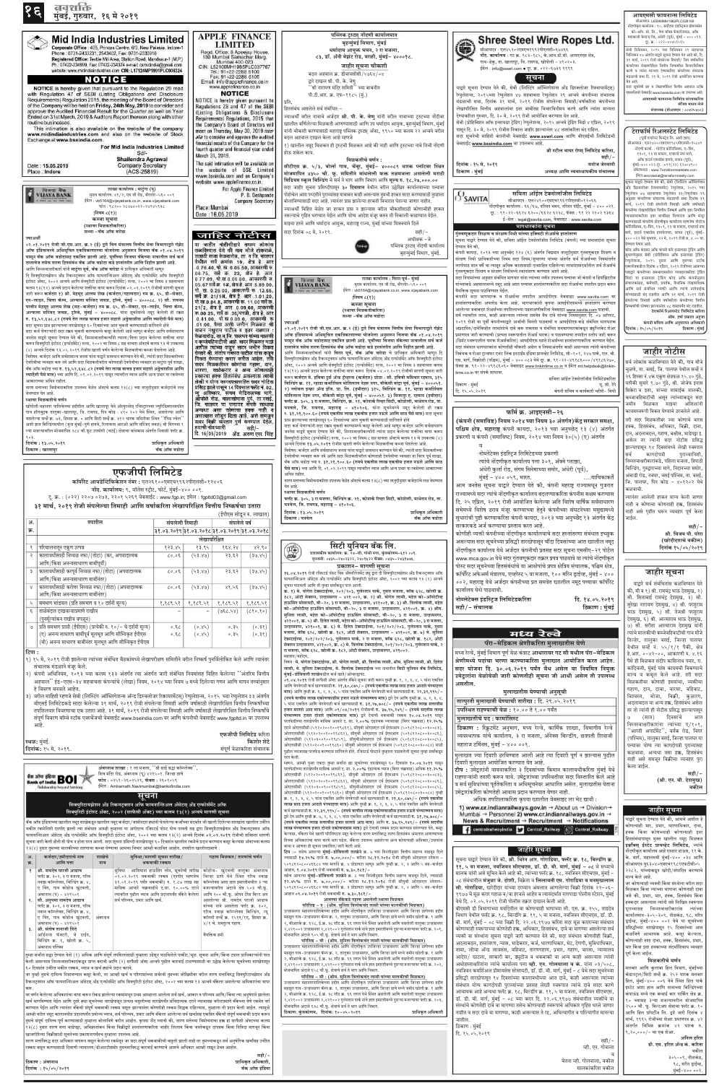नवशक्ति मुंबई, गुरुवार, १६ मे २०१९



#### दूर. क्र. : ०२२-४०७५६५६५ सेबी विनियमन, २०१५ च्या विनियमन २९ सहवाचन विनियमन ४७ अंतर्गत याद्वारे सूचना देण्यात येत आहे की, दि. | ३१ मार्च, २०१९ रोजी संपलेल्या तिमाही / वित्त वर्षाकरिता कंपनीच्या लेखापरीक्षित वित्तीय निष्कर्षांवर विचारविनिमय करणे व त्यांना मान्यता देण्याकरिता कंपनीच्या संचालक मंडळाची सभा दि. २९ मे, २०१९ रोजी आयोजित करण्यात येत आहे. सदर सूचनेची प्रत व लेखापरीक्षित वित्तीय अहवाल स्टॉक एक्सचेंजची वेबसाईट www.bseindia.com वर उपलब्ध आहे. आयएमसी फायनान्स लिमिटेड यांच्याकरिता संजिव माधव लेले संचालक (डीआयएन : ००४२५४०८) टेराफॉर्म रिअलस्टेट लिमिटेड (पर्वी एव्हरेस्ट फिनटेड लि. अशी ज्ञात) सीआयएन : एल२७२००एमएच१९८५पीएलसी०३५८४१ नोंदणी कार्या. : गोदरेज कोलिसियम, ए-विंग, १३०१, १३ वा मजला, एव्हरार्ड नगर मागे, ऑफ इस्टर्न एक्सप्रेस हायवे, सायन (पूर्व), मुंबई–४०० ०२२.दूर. :+९१(२२) ६२७०४९०० संकेतस्थळ: www.Terraformrealstate.com ईमेलःsecretarial@terraformrealty.com सचना याद्वारे देण्यात येते की. सेबी (लिस्टिंग ऑब्लिगेशन अँड डिस्क्लोजर रिक्वायरमेंट) रेग्युलेशन, २०१५ च्या .<br>रेग्युलेशन ४७ सहवाचता रेग्युलेशन ३३*/*रेग्युलेशन २<sup></sup> अनुसार कंपनीच्या संचालक मंडळाची सभा दिनांक ३१ मार्च, २०१९ रोजी संपलेली तिमाही आणि वर्षासाठी कंपनीचा लेखापरिक्षित वित्तीय निष्कर्ष आणि इतर नियमित .<br>व्यवसायाकरिता इतर बाबींसह विचारात आणि मंजर करण्यासाठी कंपनीचे नोंदणीकृत कार्यालय म्हणजेच गोदरेज कोलिसियम, ए-विंग, १३०१, १३ वा मजला, एव्हरार्ड नगर मागे, इस्टर्न एक्सप्रेस हायवेलगत, सायन (पूर्व), मुंबई-४०० ०२२ येथे बुधवार, २२ मे, २०१९ रोजी स. ४.०० वा. ग्ण्यात येणार आहे. कोड ऑफ कंडक्ट ऑफ कंपनी फॉर इन्सायडर ट्रेडिंग आणि .<br><sub>[</sub>धारणेनुसार सेबी (प्रोहिबिशन ऑफ इन्सायडर ट्रेडिंग] .<br>ख़्लेशन्स, २०१५ नुसार आणि तुमच्या स्टॉक एक्स्चेंजकडील दिनांक ४ एप्रिल, २०१९ रोजीच्या आमच्या पत्राद्वारे कंपनीच्या समभागामधील व्यवहाराकरिता टेडिंग |बिंडो या इन्सायडर ट्रेडिंग कोड ऑफ कंपनीनुसार संचालकांसह, कर्मचारी, प्रवर्तक, वैधानिक लेखापरीक्षक आणि सर्व संबंधित व्यक्ती आणि त्यांचे नातेवाईक गांच्यासाठी बंद राहतील आणि ३१ मार्च, २०१९ रोजी संपलेल्या तिमाही आणि वर्षाकरिता कंपनीच्या वित्तीय निष्कर्षाची घोषणा झाल्यानंतर ४८ तासापर्यंत बंद राहतील. टेराफॉर्म रिअलस्टेट लिमिटेड करिता श्रीम. हर्षा प्रकाश अहजा कंपनी सचिव आणि अनुपालन अधिकारी दिनांक: १५/०५/२०१९ ठिकाण : मुंबई जाहीर नोटीस

सही/-

यू. सी. रेगे

मनोज जेस्वानी

आयएमसी फायनान्स लिमिटेड मीआयएन: 1 65990MH1982PLC028169 .<br>गेंदणीकृत कार्यालय : १०, सर्वोदया इंडस्ट्यिल प्रीमायसेस को-ऑप. सो. लि., पेपर बॉक्स फॅक्टरीजवळ, ऑफ

महाकाली केव्हज् रोड, अंधेरी (पूर्व), मुंबई - ४०० ०९३.

सर्व लोकांस कळविण्यात येते की, गाव मौजे चुळणे, ता. वसई, जि. पालघर येथील सर्व्हे नं २६ हिस्सा नं.४क एकूण क्षेत्रफळ १५.४० गुंठे, यापैकी सुमारे ९.७० गुंठे, श्री. जोजेफ इनास सिक्केरा व इतर, यांच्या सामाईक मालकी, कब्जावहिवाटीची असून त्यांच्याकडून सदर जमीन मिळकत माझ्या अशिलांनी कायमस्वरूपी विकत घेण्याचे ठरवलेले आहे. तरी सदर मिळकतीवर ज्या कोणाचे वारस हक्क, हितसंबंध, अधिकार, विक्री, दावा, दान, अदलाबदल, गहाण, बक्षीस, भाडेपट्टा इ

| १०३.                   |  |
|------------------------|--|
| , दिनांक : १३.०५.२०१९  |  |
| <b>ठिकाण : खालापुर</b> |  |
|                        |  |

| त निवासी फ्लॅट क्र.                          | 1011<br>  दि. 16/05/2019 ॲड. अरुण एस. सिंह |
|----------------------------------------------|--------------------------------------------|
| ाधिकृत अधिकारी <i> </i><br>बँक ऑफ बडोदा $\,$ |                                            |

## एफजीपी लिमिटेड

प्राधिव

कॉर्पोरेट आयडेन्टिफिकेशन नंबर: एल२६१००एमएच१९६२पीएलसी०१२४०६ नोंद. कार्यालय: ९, वॉलेस स्ट्रीट, फोर्ट, मुंबई-४०० ००१. द्. क्र. : (०२२) २२०७ ०२७३, २२०१ ५२६९ वेबसाईट : www.fgp.in; इमेल : fgpltd03@gmail.com

३१ मार्च, २०१९ रोजी संपलेल्या तिमाही आणि वर्षाकरिता लेखापरिक्षित वित्तीय निष्कर्षचा उतारा (ईपीएस सोडून रु. लाखात)

| अ.            | तपशील                                                                                                                       | संपलेली तिमाही |                  | संपलेले वर्ष                                |                  |
|---------------|-----------------------------------------------------------------------------------------------------------------------------|----------------|------------------|---------------------------------------------|------------------|
| क्र.          |                                                                                                                             |                |                  | 2905.50.95 9905.50.95 2905.50.95 9905.50.95 |                  |
|               |                                                                                                                             |                | लेखापरिक्षित     |                                             |                  |
| $\mathbf{S}$  | परिचालनातून एकूण उत्पन्न                                                                                                    | 823.84         | 83.84            | 888.88                                      | 89.80            |
| २             | कालावधीसाठी निव्वळ नफा/(तोटा) (कर, अपवादात्मक<br>आणि/किंवा अनन्यसाधारण बाबींपूर्वी)                                         | 30.05          | (68.80)          | 93.59                                       | (30.84)          |
| ३             | कालावधीसाठी करपूर्व निव्वळ नफा/(तोटा) (अपवादात्मक<br>आणि/किंवा अनन्यसाधारण बाबींनंतर)                                       | 30.05          | (98.89)          | 33.53                                       | (30.84)          |
| $\propto$     | कालावधीसाठी करोत्तर निव्वळ नफा/(तोटा) (अपवादात्मक<br>आणि/किंवा अनन्यसाधारण बाबींनंतर)                                       | 30.05          | (98.89)          | 88.45                                       | (30.84)          |
| $\mathcal{G}$ | समभाग भांडवल (प्रति समभाग य १० दर्शनी मूल्य)                                                                                | १,१८९.५१       | १,१८९.५१         | १,१८९.५१                                    | १,१८९.५१         |
| $\mathcal{E}$ | ताळेबंदात दाखवल्याप्रमाणे राखीव<br>(पुनर्मूल्यांकन राखीव वगळून)                                                             |                |                  | $(x, y, y)$ ।                               | (0.80, 80)       |
| $\mathcal{O}$ | प्रति समभाग प्राप्ती (ईपीएस) (प्रत्येकी रु. १०/- चे दर्शनी मूल्य)<br>(ए) अनन्य साधारण बाबींपूर्व मूलभूत आणि सौम्यिकृत ईपीएस | 0.50<br>0.5    | (0.84)<br>(0.84) | 95.0<br>0.34                                | (0.38)<br>(0.38) |
|               | (बी) अनन्य साधारण बाबींनंतर मूलभूत आणि सौम्यिकृत ईपीएस                                                                      |                |                  |                                             |                  |

#### |टिपा :

 $\ket{3}$  १५ मे, २०१९ रोजी झालेल्या त्यांच्या संबंधित बैठकांमध्ये लेखापरीक्षण समितीने वरील निष्कर्ष पुनर्विलोकित केले आणि त्यानंतर संचालक मंडळाने मंजूर केले.

२) कंपनी अधिनियम, २०१३ च्या कलम १३३ अंतर्गत त्या अंतर्गत जारी संबंधित नियमांसह विहित केलेल्या ''अंतरिम वित्तीय अहवाल'' इंड–एएस–३४ सहवाचता कंपन्यांचे (लेखा) नियम, २०१४ च्या नियम ७ मध्ये दिलेल्या गणन आणि मापन तत्त्वांनुसार हे विवरण बनवले आहेत.

३) वरील माहिती म्हणजे सेबी (लिस्टिंग ऑब्लिगेशन्स ॲन्ड डिस्क्लोजर रिकायरमेंटस्) रेग्युलेशन्स, २०१५ च्या रेग्युलेशन ३३ अंतर्गत बीएसई लिमिटेडकडे सादर केलेल्या ३१ मार्च, २०१९ रोजी संपलेल्या तिमाही आणि वर्षासाठी लेखापरिक्षित वित्तीय निष्कर्षांच्या तपशिलवार विवरणाचा एक उतारा आहे. ३१ मार्च, २०१९ रोजी संपलेल्या तिमाही आणि वर्षासाठी लेखापरिक्षित वित्तीय निष्कर्षांचे संपूर्ण विवरण बॉम्बे स्टॉक एक्स्चेंजची वेबसाईट www.bseindia.com वर आणि कंपनीची वेबसाईट www.fgpltd.in वर उपलब्ध आहे.

|                      | एफजीपी लिमिटेड करिता     |
|----------------------|--------------------------|
| स्थळ: मुबई.          | किशोर शेटे               |
| दिनांक: १५ मे, २०१९. | संपूर्ण वेळाकरिता संचालक |
|                      |                          |



अंबरनाथ शाखा : १ ला मजला, ''श्री साई श्रद्धा कॉम्प्लेक्स'', शिव मंदिर रोड, अंबरनाथ (पू) ४२१५०१. जिल्हा ठाणे फोन : ०२५१-२६०२५२९, फॅक्स : २६०१०५९ ईमेल : Ambarnath.Navimumbai@bankofindia.com

सूचना सिक्युरिटायझेशन अँड रिकन्स्ट्रक्शन ऑफ फायनान्शिअल ॲसेटस् अँड एन्फोर्समेंट ऑफ सिक्युरिटी इंटरेस्ट ॲक्ट, २००२ (सरफैसी ॲक्ट) च्या कलम १३(२) अन्वये मागणी सूचना

बँक ऑफ इंडियाच्या खालील नमूद शाखेकडून खालील नमूद कर्जदार/जामीनदार ह्यांनी घेतलेल्या कर्जांच्या संदर्भात जी खाली दिलेल्या तारखांना खालील उर्वरित थकीत रकमेनिशी एनपीए झाली त्या संबंधात आम्ही तुम्हाला या अगोदरच रजिस्टर्ड पोस्ट पोच पावती सह द्वारा सिक्युरिटायझेशन अँड रिकन्स्ट्रक्शन ऑफ फायनान्शिअल ॲसेटस् ॲंड एन्फोर्समेंट ऑफ सिक्युरिटी इंटरेस्ट ॲक्ट, २००२ च्या कलम १३(२) अन्वये दिनांक ०२.०२.२०१९ रोजीची सविस्तर मागणी सूचना जारी केली होती ती पोच न होता परत आली. सदर सूचना प्रसिध्दी तारखेपासून ६० दिवसांत खालील रकमेचे प्रदान करण्यात कसूर केल्यास ॲक्टच्या कलम १३(४) नुसार तुमच्या मालकीच्या तारणाचा कब्जा घेण्याचा आमचा विचार आम्ही कळवित आहोत. तपशील खालीलप्रमाणे

| अ.    | कर्जदार/हमीदाराचे नाव    | शाखच | सुविधा/मागणी सूचना तारीख/                                                        | गहाण मिळकत/ तारणाचे वर्णन |
|-------|--------------------------|------|----------------------------------------------------------------------------------|---------------------------|
| ुक्र. | आणि पत्ता                | नाव  | थकबाकी रक्कम                                                                     |                           |
|       | श्री बागटेत प्रगती आदात. |      | अाशियाना हारूमिंग लोन, मचनेची तागीख कोडोज-, खंटवली, तालका, अंबग्नाथ  <br>म्रतिशा |                           |

सिक्युरिटी इंटरेस्ट (इन्फोर्समेंट) रुल्स, २००२ चा नियम ८ सह वाचता ॲक्टचे कलम १३ चे उपकलम (४) अन्वये दिनांक १३.०५.२०१९ रोजीस खाली वर्णन केलेल्या मिळकतीचा कब्जा घेतलेला आहे. विशेषत: कर्जदार आणि सर्वसामान्य जनता यांना याद्वारे सावधान करण्यात येते की, त्यांनी सदर मिळकतीच्या देवघेवीचा व्यवहार करू नये आणि सदर मिळकतीवरील कोणताही देवघेवीचा व्यवहार हा विरार पूर्व शाखा. बँक ऑफ बडोदा च्या रु. ३१,२१,९००.६० (रुपये एकतीस लाख एकवीस हजार नऊशे आणि साठ पैसे मात्र) च्या आणि दि. ०१.०२.२०१९ पासून त्यावरील व्याज आणि अन्य प्रभार या रकमेच्या आकाराच्या अधिन राहील.

तारण मत्ताच्या विमोचनाकरिता उपलब्ध वेळेत ॲक्टचे कलम १३(८) च्या तरतुदीनुसार कर्जदारांचे लक्ष वेधण्यात येत आहे

## स्थावर मिळकतीचे वर्णन

फ्लॅट क्र. ३०५, ३ रा मजला, बिल्डिंग क्र. २१, कोनार्क रिव्हर सिटी, कोप्रोली, माथेरान रोड, ता पनवेल, जि. रायगड, महाराष्ट्र – ४१०२०६. प्राधिकृत अधिकारी

दिनांक : १३.०५.२०१९ ठिकाण : पनवेल

器

बँक ऑफ बडोदा

## सिटी युनियन बँक लि. प्रशासकीय कार्यालयः क्र. २४-बी, गांधी नगर, कुंबकोणम-६१२ ००१.

दुरध्वनीः ०४३५–२४०२३२२, २४०१६२२ फॅक्सः ०४३५–२४३१७४६.

#### प्रकाशन- मागणी सूचना

१६.०४.२०१९ रोजी रजिस्टर्ड पोस्ट विथ ॲक्नॉलेजमेंट ड्यु द्वारा दी सिक्युरिटायझेशन अँड रिकन्स्ट्रक्शन ऑफ फायनान्शिअल ॲसेट्स अँड एन्फोर्समेंट ऑफ सिक्युरिटी इंटरेस्ट ॲक्ट, २००२ च्या कलम १३ (२) अन्वये सूचना पाठवली आणि ती तुम्हा सर्वांकडून परत आली.

क्र. १) मे. योगेश टेक्सटाईल्स, २०२/२०३, गुलेस्तान पार्क, दसरा मजला, बरॅक ६२८, खोली क्र १८२, ओटी सेक्शन, उल्हानसगर - ४२१ ००२, क्र. २) श्री. योगेश लासी, महेश को-ऑपरेटीव्ह हाऊसिंग सोसायटी, बी–२०, ३ रा मजला, उल्हासनगर, ४२१००१, क्र. ३) श्री. त्रिलोक लासी, महेश को-ऑपरेटीव्ह हाऊसिंग सोसायटी, बी-२०, ३ रा मजला, उल्हासनगर, ४२१००१, क्र. ४) श्रीम. सुनिता लासी, महेश को-ऑपरेटीव्ह हाऊसिंग सोसायटी, बी-२०, ३ रा मजला, उल्हासनगर ४२१००१, क्र. ५) श्री. हितेश लासी, महेश को–ऑपरेटीव्ह हाऊसिंग सोसायटी, बी–२०, ३ रा मजला, उल्हासनगर, ४२१००१, क्र. ६) मे. हितेश टेक्स्टाईल्स, २०१/२०२/२०३, गुलेस्तान पार्क, दुसरा मजला, बेरॅक ६२८, खोली क्र. १८२, ओटी सेक्शन, उल्हासनगर – ४२१००२, क्र. ७) मे. सुनिता टेक्स्टाईल्स, २०१/२०२/२०३, गुलेस्तान पार्क, २ रा मजला, बरॅक ६२८, खोली क्र. १८२, ओटी सेक्शन उल्हासनगर, ४२१००२, क्र. ८) मे. त्रिलोक टेक्स्टाईल्स, २०१/२०२/२०३, गुलेस्तान पार्क, २ रा मजला, बरॅक ६२८, खोली क्र. १८२, ओटी सेक्शन, उल्हासनगर, ४२१००२.

महाशय/महोदय,

विषय : मे. योगेश टेक्स्टाईल्स, श्री. योगेश लासी, श्री. त्रिलोक लासी, श्रीम. सुनिता लासी, श्री. हितेश लासी, मे. सुनिता टेक्स्टाईल्स, मे. त्रिलोक टेक्सटाईन्स च्या नावातील सिटी युनियन बँक लिमिटेड मुंबई-डोंबिवली शाखेकडील कर्ज खाते/ओव्हरड़ाफ्ट.

०९.०४.२०१९ रोजी सरफैसी ॲक्ट अंतर्गत बँकेने सूचना जारी करून तुम्ही क्र. १, २, ३, ४, ५ यांना एकत्रित आणि वेगवेगळी कर्ज खात्यासाठी रु. २१,६०,८७५/– (रुपये एकवीस लाख साठ हजार आठशे पंच्याहत्तर मात्र) आणि तुम्ही क्र. ६, २, ३, ४, ५ यांना एकत्रित आणि वेगवेगळी कर्ज खात्यासाठी रु. २२,३९,९९५/-(रुपये बावीस लाख एकोणचाळीस हजार नऊशे पंच्याण्णव मात्र) द्वारे देय आणि तुम्ही क्र. ७, २, ३, ४, ५ यांना एकत्रित आणि वेगवेगळी कर्ज खात्यासाठी रु. ३१,२७,७०८/– (रुपये एकतीस लाख सत्तावीस हजार सातशे आठ मात्र) आणि ०९/०४/२०१९ रोजीसची रु. ३७,९५,२४९/– (रुपये सदतीस लाख पंच्याण्णव हजार दोनशे एकोणपन्नास मात्र) द्वारे देयाची थकबाकी रक्कम १०.०४.२०१९ पासून परतफेडीच्या तारखेपर्यंत मासिक आधारे द. सा. २.००% दंडात्मक व्याजासह (बिगर चक्रवाढ) १२.२५% दराने ओएलसीसी (५१२०२००१००१९८६१), सीयुबी ओएसएल टर्म ईएमआय (५०१८१२०८००३००८३). ओलएलसीसी (५१२०२००१००१९८६२), सीयुबी ओएसएल टर्म ईएमआय (५०१८१२०८००३००८६) ओएलसीसी (५१२०३००१००१९८५९), सीयुबीओएसएल टर्म ईएमआय (५०१८१२०८००३००८५) ओएलसीसी (५१२०२००१००१९८६०) सीयुबी ओएसएल टर्म ईएमआय (५०१८१२०८००३००८४) साठी पुढील व्याजासह परतफेड करण्यास सांगितले होते. रजिस्टर्ड पोस्टाने तुम्हाला पाठवलेली सूचना तुम्हा सर्वांकडून परत केली.

म्हणन, आम्ही पुन्हा एकदा तुम्हा सर्वांना ह्या सूचनेच्या तारखेपासून ६० दिवसांत **१०.०४.२०१९** पासून परतफेडीच्या तारखेपर्यंत मासिक आधारे द. सा. २.००% दंडात्मक व्याज (बिगर चक्रवाढ) अधिक ११.२५% ओएलसीसी (५१२०२००१००१९८६१), सीयुबी ओएसएल टर्म ईएमआय (५०१८१२०८००३००८३) ओलएलसीसी (५१२०२००१००१९८६२), सीयुबी ओएसएल टर्म ईएमआय (५०१८१२०८००३००८६). ओएलसीसी (५१२०३००१००१९८५९), सीयुबीओएसएल टर्म ईएमआय (५०१८१२०८००३००८५) ओएलसीसी (५१२०२००१००१९८६०) सीयुबी ओएसएल टर्म ईएमआय (५०१८१२०८००३००८४) तुम्ही क्र. १. २. ३, ४, ५ यांना एकत्रित आणि वेगवेगळी कर्ज खात्यासाठी रु. २१,६०,८७५/ - (रुपये एकवीस लाख साठ हजार आठशे पंच्याहत्तर मात्र) आणि तुम्ही क्र. ६, २, ३, ४, ५ यांना एकत्रित आणि वेगवेगळी कर्ज खात्यासाठी रु. २२,३९,९९५/– (रुपये बावीस लाख एकोणचाळीस हजार नऊशे पंच्याण्णव मात्र) द्वारे देय आणि तुम्ही क्र. ७, २, ३, ४, ५ यांना एकत्रित आणि वेगवेगळी कर्ज खात्यासाठी रु. ३१,२७,७०८/-(रुपये एकतीस लाख सत्तावीस हजार सातशे आठ मात्र) आणि रु. ३७,९५,२४९/- (रुपये सदतीस लाख पंच्याण्णव हजार दोनशे एकोणपन्नास मात्र) द्वारे देयाची रक्कम प्रदान करण्यास सांगण्यात येते, कसूर केल्यास, बँकेला येथे खाली परिशिष्टात नमूद केलेल्या तारण मत्तांविरुद्ध तारण हितसंबंध अंमलात आणण्याच्या तिच्या अधिकारांचा वापर करणे भाग पडेल. बँकेला उपलब्ध असलेल्या अन्य कोणत्याही अधिकार/उपायांना बाधा न आणता ही सूचना प्रकाशित/जारी केली आहे.

टिप :- तसेच आपल्या मुंबई-डोंबिवली शाखेने क्र. ७ च्या विनंतीनुसार वित्तीय सहाय्य वाढवून दिले ज्यासाठी १४.२५% दराने रु. ७,००,०००/– करिता २८.१२.२०१८ रोजी सीयुबी ओएसएल स्पेशल ५०१८१२०८००४६६८४ च्या मार्गाने क्र. ४ प्रोप्रायटर म्हणून आणि तुम्ही क्र. २, ३ आणि ५ सह-कर्जदार आहात. ९.०४.२०१९ रोजी थकबाकी रु. ७.३०.१८१/–

प्रकरणी व कंपनी (समाविष्ट) नियम, २०१४ च्या नियम ३०(५) (ए) अंतर्गत

## नोब्लेटेक्स इंडस्ट्रिज लिमिटेडच्या प्रकरणी त्यांचे नोंदणीकृत कार्यालय पत्ता ३०१, ॲक्मे प्लाझा,

अंधेरी कुर्ला रोड, संगम सिनेमाच्या समोर, अंधेरी (पूर्व), मुंबई – ४०० ०५९, भारत.

….याचिकाकर्ते आम जनतेस सूचना याद्वारे देण्यात येते की, कंपनी महराष्ट्र राज्यामधून गुजरात राज्यामध्ये सदर त्यांचे नोंदणीकृत कार्यालय बदलण्याकरिता कंपनीस सक्षम करण्यास दि. २५ एप्रिल, २०१९ रोजी आयोजित केलेल्या अति विशेष वार्षिक सर्वसाधारण सभेमध्ये विशेष ठराव मंजूर करण्याच्या हेतुने कंपनीच्या संघटनेच्या मसुद्यामध्ये सुधारांची पुष्टी करण्याकरिता कंपनी कायदा, २०१३ च्या अनुच्छेद १३ अंतर्गत केंद्र सरकारकडे अर्ज करण्याचा प्रस्ताव करत आहे.

कोणीही व्यक्ती कंपनीच्या नोंदणीकृत कार्यालयाचे सदर हस्तांतरणा संबंधात इच्छुक असल्यास सदर सूचनेच्या प्रसिद्धी तारखेपासून चौंदा दिवसांच्या आत खालील नमूद नोंदणीकृत कार्यालय येथे अर्जदार कंपनीची प्रतसह सदर सूचना एमसीए–२१ पोर्टल www.mca.gov.in येथे सदर गुंतवणूकदार तक्रार प्रपत्र पाठवावे वा त्यांचे नोंदणीकृत पोस्ट सदर सूचनेच्या हितसंबंधांचे वा आक्षेपांचे प्रपत्र क्षेत्रिय संचालक, पश्चिम क्षेत्र, कॉर्पोरेट अफेअर्स मंत्रालय, एव्हरेस्ट ५ वा मजला, १०० मरिन ड्राईव्ह, मुंबई - ४०० ००२, महाराष्ट्र येथे अर्जदार कंपनीच्या प्रत समवेत खालील नमूद पत्त्यावर कॉर्पोरेट कार्यालय येथे पाठवावी.

नोब्लेटेक्स इंडस्ट्जि लिमिटेडकरिता दि. १४.०५.२०१९ सही/- संचालक

## ठिकाण : मुंबइ

## मध्य रेल्वे

## पॅरा-मेडिकल श्रेणीकरिता मुलाखातीस येणे

मध्य रेल्वे, मुंबई विभाग पूर्ण वेळ कंत्राट आधारावर गट सी मधील पॅरा–मेडिकल श्रेणीमध्ये पदांचा भरणा करण्याकरिता मुलाखात आयोजित करत आहेत. सदर योजना दि. ३०.०६.२०१९ पर्यंत वैध असेल वा नियमित नियुक्त उमेद्रारांना वेळोवेळी जारी कोणतीही सूचना जी आधी असेल ती उपलब्ध असतील.

## मुलाखतीस येण्याची अनुसूची

तात्पुरती मुलाखाती येण्याची तारीखा : दि. २९.०५.२०१९ उपस्थित राहण्याची वेळ : १०.०० ते १.०० पर्यंत मुलाखतीचे पद : फार्मासिस्ट

**ठिकाण :** रिक्रुटमेंट अनुभाग, मध्य रेल्वे, कार्मिक शाखा, विभागीय रेल्वे व्यवस्थापक यांचे कार्यालय, ३ रा मजला, ॲनेक्स बिल्डींग, छत्रपती शिवाजी महाराज टर्मिनस, मुंबई - ४०० ००१.

मुलाखत ज्या दिवशी ठरविण्यात आली आहे त्या दिवशी पूर्ण न झाल्यास पुढील दिवशी मुलाखात आयोजित करण्यात येत आहे.

**टीप :** उमेद्वारांनी वायवाकरिता ३ दिवसांच्या किमान कालावधीकरिता मुंबई येथे राहणाऱ्यांनी तयारी करून यावे. उमेद्वारांच्या उपस्थितीवर सदर विस्तारित केले आहे व सर्व सुविधांच्या पूर्ततेकरिता व अधिसूचनेवर आधारित असेल. मुलाखतीस येताना उमेद्वारांकरिता कोणतेही आवास प्रदान करण्यात येणार नाही.

अधिक तपशिलाकरिता कृपया खालील वेबसाइट ला भेट द्यावी :

1) www.cr.indianrailways.gov.in → About us → Division-+ Mumbai → Personnel 2) www.cr.indianrailways.gov.in → News & Recruitment  $\rightarrow$  Recruitment  $\rightarrow$  Notifications Central central milwayindia Central Railway (c) Central Railway

## जाहीर सूचना

सूचना याद्वारे देण्यात येते की, श्री. धिरेन आर. गोराडिया, फ्लॅट क्र. १८, बिल्डींग क्र. ११, ५ वा मजला, नवजिवन सीएचएस, डॉ. डी. बी. मार्ग, मुंबई – ०८ चे सध्याचे

असेल तर त्यांनी सदर नोटीस प्रसिद्ध झाल्यापासून १४ दिवसांमध्ये लेखी स्वरुपात सर्व कागदोपत्री पुराव्यानिशी निम्नस्वाक्षरीकारांकडे, पहिला मजला, त्रिपाठी बिल्डिंग, गुरुद्वाराच्या मागे, निदानच्या समोर अंबाडी रोड, नवघर, वसई पश्चिम, ता. वसई, जि. पालघर, पिन कोड - ४०१२०२ येथे कळवावी.

त्यानंतर आलेली हरकत मान्य केली जाणार नाही व कोणाचा कोणताही हक्क, हितसंबंध नाही असे गृहीत धरून व्यवहार पूर्ण केला जाईल.

> सही/ श्री. विजय पी. परेरा (खरेदीदाराचे वकील) दिनांक १५/०५/२०१९

## जाहीर सूचना

याद्वारे सर्व संबंधितांस कळविण्यात येते

की, मी व १) श्री. रामचंद्र भाऊ देशमुख, २) सौ. सिताबाई रामचंद्र देशमुख, ३) सौ. सुरेखा नारायण देशमुख, ४) श्री. परशुराम भाऊ देशमुख, ५) सौ. तेजश्री परशुराम देशमुख, ६) श्री. आत्माराम भाऊ देशमुख ७) सौ. सरीता आत्माराम देशमुख यांनी त्यांचे मालकीची कब्जेवहिवाटीची गाव मौजे तिल्हेर, तालुका वसई, जिल्हा पालघर येथील सर्व्हे नं. ५५/१/१ पैकी, क्षेत्र हे.आर. ०-४२-००, आकारणी रु. ४.१६ पैसे ही मिळकत संदीप काशिनाथ पवार, रा. कांदिवली, मुंबई यांस कायमची विकण्याचे मान्य व कबूल केले आहे. तरी सदर मिळकतीवर कोणाही इसमांचा, व्यक्तीचा गहाण, दान, दावा, वारसा, वहिवाट, विश्वस्त, बोजा, विक्री, कळारग, अदलाबदल वा अन्य हक्क, हितसंबंध असेल तर तो त्यांनी ही नोटीस प्रसिद्ध झाल्यापासून (सात) दिवसांचे आत निम्नस्वाक्षरीकारांना त्यांच्या ए/१०१, ''आरती अपार्टमेंट'', वर्तक रोड, विरार (पश्चिम), तालुका वसई, जिल्हा पालघर या पत्त्यावर योग्य त्या कागदोपत्री पुराव्यासह कळवावा. अन्यथा तसा हक्क, हितसंबंध नाही असे समजून विक्रीचा व्यवहार पुरा केला जाईल. सही/-(श्री. एन. बी. देशमुख) वकील

## जाहीर सूचना

याद्वारे सूचना देण्यात येते की, आमचे अशील हे कोणत्याही भार, प्रभार, धारणाधिकार, दावा, हक्क किंवा कोणच्याही कोणत्याही इतर हितसंबंधापासून मुक्त खालील नमूद मिळकत इब्रॉक्स् ईस्टेट प्रायव्हेट लिमिटेड, ज्यांचे नोंदणीकृत कार्यालय आहे एस्सार हाऊस, ११ के. के. मार्ग, महालक्ष्मी मुंबई-४०० ०३४ आणि सीआयएनःयुद्द३०४०एमएच१९८९एफटीसी०५  $22/2$  ਗੰਦਗੁਣਵਰ ਸ਼ਹੇਟੀ/ਸੰਗਟਿਰ ਨਹਾਂਗ

| 21. 11999 9191 911 911<br>$\frac{1}{2}$ , and the control of the control of the control of the control of the control of the control of the control of the control of the control of the control of the control of the control of the control of the contro<br>0२.०२.२०१९ थकबाकी रक्कम (एनपीए म्हणजेच जिल्हा ठाणे येथे स्थित गरिब नवाझ | तसेच आपल्या <b>मुंबई-डोंबिवली शाखेने</b> क्र. ८ च्या विनंतीनुसार वित्तीय सहाय्य वाढवून दिले, ज्यासाठी                                                                  | - मालक यांनी असे सूचित केले आहे की, त्यांच्या फ्लॅट क्र. १८, नवजिवन सीएचएस, मुंबई      | $\sqrt{2}$                                                      |
|----------------------------------------------------------------------------------------------------------------------------------------------------------------------------------------------------------------------------------------------------------------------------------------------------------------------------------------|------------------------------------------------------------------------------------------------------------------------------------------------------------------------|----------------------------------------------------------------------------------------|-----------------------------------------------------------------|
| फ्लॅट क्र. ३०२. ३ रा मजला. गरिब<br>३१.०१.२०१९ पर्यंत थकबाकी) रु. १.८७ लाख सह कॉम्प्लेक्स अशा ज्ञात इमारतीमधील ३ ऱ्या<br>नवाझ कॉम्प्लेक्स, बिल्डिंग क्र. ४,                                                                                                                                                                             | १२.४५% दराने रु. ७,००,०००/- करिता २८.१२.२०१८ रोजी सीयुबी ओएसएल स्पेशल-                                                                                                 | ०८ संबंधातील मंजुळा जे. दोशी, विक्रेता व लिलावती एम. गोराडिया व मनसुखालाल              | मान्य केले आहे.<br>जर कोणत्याही व्यक्ती किंवा संस्थेला वरील सदर |
| मासिक आधारे चक्रवाढीने द.सा. १०.००% दराने मजल्यावरील अंदाजे क्षेत्र ५०३ चौ.फू.<br>ए विंग, गाव कोहोज खुंटवली                                                                                                                                                                                                                            | ५०१८१२०८००४६६८२ च्या मार्गाने क्र. ३ प्रोप्रायटर म्हणून आणि तुम्ही क्र. २, ४ आणि ५ सह-कर्जदार                                                                          | सी. गोराडिया, खोदीदार यांच्या दरम्यान अंमलात आणलेल्या विक्री दिनांक २२-०६-             | ।<br>सिळकत किंवा त्याच्या भागावर कोणताही दावा                   |
| त्यावरील पृढील व्याज आणि प्रदानापर्यंत बँकेने केलेला   आणि २०० चौ.फू. ओपन टेरेस बिल्ट अप<br>अंबरनाथ (प) - ४२१५०१                                                                                                                                                                                                                       | आहात ०९.०४.२०१९ रोजी थकबाकी रु. ७,३०,१८१/-                                                                                                                             | १९७७ चे मूळ करार गहाळ व/वा हरवले आहेत व त्यासंदर्भात नागपाडा पोलीस स्टेशन, मुंबई       |                                                                 |
| सर्व परिव्यय. प्रभार आणि खर्च.<br>असलेल्या श्री. नामदेव पराजी आढाव<br>  सौ. अनुपमा नामदेव आढाव                                                                                                                                                                                                                                         | आमच्या बँकेकडे गहाण असलेली स्थावर मिळकत                                                                                                                                | येथे दि. ०२.०५.२०१९ रोजी पोलीस तक्रार दाखल केली आहे.                                   | जसे की, प्रभार, भार, हक्क, हितसंबंध किंवा                       |
| यांच्या नावे असलेला फ्लॅट क्र. ३०२,<br>फ्लॅट क्र. ३०२. ३ रा मजला. गरिब                                                                                                                                                                                                                                                                 | परिशिष्ट – ए : (श्रीम. सुनिता त्रिलोकचंद लासी यांच्या मालकीची मिळकत)                                                                                                   |                                                                                        | हक्कदार असल्यास त्यांनी तसे लिखित स्वरूपात                      |
| नवाज कॉम्प्लेक्स, बिल्डिंग क्र. ४,<br>गरिब नवाझ कॉम्प्लेक्स बिल्डिंग, न्यू                                                                                                                                                                                                                                                             | उल्हासनगर महानगरपालिकेच्या हद्दीत आणि नोंदणीकृत उपजिल्हा उल्हासनगर आणि जिल्हा ठाणेच्या हद्दीत                                                                          | बीएमसी डी विभागाच्या मर्यादेतील वा कोणत्याही भागाच्या सी. एस. क्र. २५५, ताडदेव         | पराव्यासह निम्नस्वाक्षरीकारांस त्यांच्या                        |
| कॉलनी सर्व्हे क्र. १५१ए/१ए, हिस्सा क्र.<br>ए विंग, गाव कोहोज खुंटवली,   अंबरनाथ                                                                                                                                                                                                                                                        | महसूल गाव-उल्हानसगर कॅम्प क्र. २, तालुका उल्हानसगर, आणि जिल्हा ठाणे मध्ये जमीन खोली क्र. १ आणि                                                                         | विभाग येथील फ्लॅट क्र. १८, बिल्डींग क्र. ११, ५ वा मजला, नवजिवन सीएचएस, डॉ. डी.         | कार्यालयात-३०५-३०९, नीळकंठ, ९८, मरिन                            |
| अंबरनाथ (प) - ४२१५०१<br>४/१ चे. समतुल्य गहाण.                                                                                                                                                                                                                                                                                          | २, बीआरके क्र. ६२८, ई.क्र. ३८ शीट क्र. ६६ लगत येथे स्थित असलेली आणि वसलेली तालुका उल्हासनगर                                                                            | बी. मार्ग, मुंबई – ०८ च्या विक्री दि. २२.०६.१९७७ करिता सदर मूळ कराराच्या संबंधात       | ड्राईव्ह, मुंबई-४०० ००२ येथे या सूचनेच्या                       |
| श्री. संतोष तानाजी शिंदे                                                                                                                                                                                                                                                                                                               | २,४२१००२ उल्हासनगर २,४२१००२ गुलेस्तान पार्क नांवे ज्ञात इमारतीमध्ये दुसऱ्या मजल्यावर फ्लॅट क्र. २०१,                                                                   | कोणत्याही स्वरूपाच्या कोणतेही हक्क, अधिकार, हितसंबंध, दावे वा मागण्या असलेल्या सर्व    | प्रसिद्धीच्या तारखेपासून १५ दिवसांच्या आत                       |
| वैयक्तिक हमी<br>ऑर्डनन्स फॅक्टरी, जे टाईप,                                                                                                                                                                                                                                                                                             | मोजमापित अंदाजे ९०५ चौ.फू. क्षेत्राचे सर्व ते भाग आणि विभाग.                                                                                                           | व्यक्ती वा संस्थांना सूचना याद्वारे जारी करण्यात येते की, सदर संबंधात कोणतीही विक्री,  | कळविणे आवश्यक आहे. कसूर केल्यास,                                |
| ।<br>बिल्डिंग क्र. १, खोली क्र. ५,                                                                                                                                                                                                                                                                                                     | परिशिष्ट – बी : (श्रीम. सुनिता त्रिलोकचंद लासी यांच्या मालकीची मिळकत)                                                                                                  | अदलाबदल, हस्तांतरण, न्यास, भाडेकरार, कर्ज, धारणाधिकार, भेट, देणगी, सुविधाधिकार,        | कोणत्याही तशा दावा, हक्क, हितसंबंध, प्रभार,                     |
| अंबरनाथ पश्चिम                                                                                                                                                                                                                                                                                                                         | उल्हासनगर महानगरपालिकेच्या हद्दीत आणि नोंदणीकृत उपजिल्हा उल्हासनगर आणि जिल्हा ठाणेच्या हद्दीत                                                                          | ताबा, लीव्ह ॲन्ड लायसंस, वहिवाट, तारणगहाण, प्रभार, गहाण, वारसा, न्यायालय               | भार किंवा इतर हक्काच्या संदर्भाशिवाय व्यवहार                    |
| तुम्हा सर्वांना सल्ला देण्यात येतो (१) अधिक आणि संपूर्ण तपशिलांसाठी तुम्हाला उद्देशून पाठविलेले पाकीट/मूळ  सूचना आणि/किंवा टपाल प्राधिकाऱ्यांनी परत                                                                                                                                                                                    | महसूल गाव-उल्हानसगर कॅम्प क्र. २, तालुका उल्हानसगर, आणि जिल्हा ठाणे मध्ये जमीन खोली क्र. १ आणि                                                                         | आदेश/ खटला, सरकारी कर, ड्युटीज व थकबाकी वा अन्य काही असल्यास त्यांनी                   | पूर्ण केला जाईल.                                                |
| किली असल्यास निम्नस्वाक्षरीकारांकडून प्राप्त करावी आणि (२) सरफैसी ॲक्ट अन्वये पुढील कारवाई टाळण्यासाठी वर उल्लेख केलेल्या सूचनेच्या तारखेपासून                                                                                                                                                                                         | २, बीआरके क्र. ६२८, ई.क्र. ३८ शीट क्र. ६६ लगत येथे स्थित असलेली आणि वसलेली तालुका उल्हासनगर                                                                            |                                                                                        | मिळकतीचे वर्णन                                                  |
| '६० दिवसांत उर्वरित थकीत रक्कम, व्याज व खर्च ह्यांचे प्रदान करावे.                                                                                                                                                                                                                                                                     | २.४२१००२ उल्हासनगर २.४२१००२ गुलेस्तान पार्क नांवे ज्ञात इमारतीमध्ये दसऱ्या मजल्यावर फ्लॅट क्र. २०२.                                                                    | अधोहस्ताक्षरितांना त्यांचे कार्यालय पत्ता <b>व्ही. एन. गोलवाला व कं.</b> यांना ०३/५०८, | मलबार आणि कुलाबा हिल विभाग, मुंबईच्या                           |
| ∥जर तुम्ही तुमचे दायित्व निभावण्यात कसूर केली, तर आम्ही खर्च व परिणामांच्या सर्वस्वी तुमच्या जोखिमीवर वरील तारण मत्तांविरुद्ध सिक्युरिटायझेशन अँड                                                                                                                                                                                      | <sup> </sup> मोजमापित अंदाजे ६५८ चौ.फू. क्षेत्राचे सर्व ते भाग आणि विभाग.                                                                                              | नवजिवन कमर्शिअल प्रीमायसेस सोसायटी, डॉ. डी. बी. मार्ग, मुंबई – ८ येथे सदर सूचनेच्या    | कॅडास्टल/सिटी सर्व्हे क्र. २५२ धारक मलबार                       |
| रिकन्स्ट्रक्शन ऑफ फायनान्शिअल ॲसेटस् अँड एन्फोर्समेंट ऑफ सिक्युरिटी इंटरेस्ट ॲक्ट, २००२ च्या कलम १३ अन्वये बँकेला असलेल्या अधिकारांचा वापर                                                                                                                                                                                             | परिशिष्ट – सी : (श्रीम. सुनिता त्रिलोकचंद लासी यांच्या मालकीची मिळकत)<br>उल्हासनगर महानगरपालिकेच्या हद्दीत आणि नोंदणीकृत उपजिल्हा उल्हासनगर आणि जिल्हा ठाणेच्या हद्दीत | प्रसिद्धी तारखोपासून १४ दिवसांच्या कालावधीच्या आत दावे, काही असल्यास त्यांच्या         | हिल, मुंबई-४०० ००६ येथे स्थित हिल पार्क                         |
|                                                                                                                                                                                                                                                                                                                                        | महसूल गाव-उल्हानसगर कॅम्प क्र. २, तालुका उल्हानसगर, आणि जिल्हा ठाणे मध्ये जमीन खोली क्र. १ आणि                                                                         | संबंधात योग्य कागदोपत्री पुराव्यांच्या प्रतसह लेखी स्वरूपात त्यांचे दावे सादर करणे     | इस्टेट अशा ज्ञात आणि नावाच्या बिल्डिंगच्या                      |
| वर वर्णन केलेल्या अधिकारांचा वापर करून रोकड झालेल्या रकमांमधून प्रथम आम्हाला आलेला सर्व खर्च, आकार व परिव्यय आणि/किंवा त्या अनुषंगाने झालेला                                                                                                                                                                                           | २, बीआरके क्र. ६२८, ई.क्र. ३८ शीट क्र. ६६ लगत येथे स्थित असलेली आणि वसलेली तालुका उल्हासनगर                                                                            | आवश्यक आहे अन्यथा फ्लॅट क्र. १८, बिल्डींग क्र. ११, ५ वा मजला, नवजिवन सीएचएस,           | कंपाऊंड मध्ये एक कव्हर्ड कार पार्किंग क्षेत्र क्र.              |
|                                                                                                                                                                                                                                                                                                                                        | २,४२१००२ उल्हासनगर २,४२१००२ गुलेस्तान पार्क नांवे ज्ञात इमारतीमध्ये दसऱ्या मजल्यावर फ्लॅट क्र. २०३,                                                                    | डॉ. डी. बी. मार्ग, मुंबई - ०८ च्या करार दि. २२.०६.१९७७ संबंधातील व्यक्तींचे वा         | १० च्यासह ३ऱ्या मजल्यावरील मोजमापित                             |
| खर्च भागविण्यात येईल आणि दुसरे ह्या सूचनेच्या तारखेपासून प्रत्यक्ष वसुलीच्या तारखेपर्यंत संविदात्मक दराने व्याजासह वरीलप्रमाणे बँकेच्या येणे रकमेत वर्ग                                                                                                                                                                                | $\vert$ मोजमापित अंदाजे ६३८ चौ.फू. क्षेत्राचे सर्व ते भाग आणि विभाग.                                                                                                   | संस्थांचे कोणतेही दावे वा मागण्या तसेच कोणत्याही स्वरूपाचे अधिकार गृहित धरले जाणार     | २५०० चौ. फू. बिल्टअप क्षेत्राचा फ्लॅट क्र. १०                   |
| करण्यात येईल आणि त्यानंतर बँकेची संपूर्ण थकबाकी रक्कम वसूल झाल्यानंतर कोणतीही रक्कम शिल्लक राहिल्यास, तुम्हाला ती प्रदान केली जाईल. त्यामुळे                                                                                                                                                                                           | ∣ ठिकाणः कुंबकोणम,   दिनांकः १०−०५−२०१९<br>प्राधिकृत अधिकारी                                                                                                           | नाहीत व सदर दावे वा मागण्या, काही असल्यास ते रद्द, अधित्यागीत व परित्यागीत मानल्या     | आणि हिल प्रॉपर्टीज लि. द्वारे जारी दिनांक ४                     |
| ्आम्ही वरील नमूद कालावधीत प्रदानापर्यंत प्रयोज्य व्याज, सर्व परिव्यय, प्रभार आणि बँकेला आलेल्या सर्व खर्चासह एकत्रित बँकेची संपूर्ण थकबाकी प्रदान करून                                                                                                                                                                                 |                                                                                                                                                                        | जातील.                                                                                 | ∥ मार्च, १९९५ रोजीच्या शेअर प्रमाणपत्र क्र. ४२                  |
| तुमचे संपूर्ण दायित्त्व पूर्ण करण्यासाठी तुम्हाला बोलाविणे करीत आहोत. कृपया नोंद घ्यावी की, तारण मत्तेच्या विमोचनाचा हक्क हा सरफैसी ॲक्टच्या कलम                                                                                                                                                                                       |                                                                                                                                                                        |                                                                                        | अंतर्गत विभिन्न क्रमांक ४२ धारक रु.                             |
| १३(८) नुसार तारण मत्ता भाडेपट्टा, अभिहस्तांकन किंवा विक्रीद्वारे हस्तांतरणाकरिता जाहीर लिलाव किंवा जनतेकडून दरपत्रक किंवा निविदा मागवून किंवा                                                                                                                                                                                          |                                                                                                                                                                        | ठिकाण : मुंबई                                                                          |                                                                 |
| खाजगीरित्या विक्रीसाठी सूचनेच्या प्रकाशनापर्यंतच तुम्हाला उपलब्ध आहे.                                                                                                                                                                                                                                                                  |                                                                                                                                                                        | दि. १५.०५.२०१९                                                                         | १,२०,०००/- चा एक शेअर.<br>अनिल हरिश                             |
| तारण मत्तांविरुद्ध सदर अधिकार वापरून वसूल केलेल्या रकमेतून जर सदर संपूर्ण थकबाकीची वसुली झाली नाही तर तुमच्याकडून सर्व अनुषंगिक खर्चांसह उर्वरित                                                                                                                                                                                       |                                                                                                                                                                        | सही/-                                                                                  |                                                                 |
| .<br>रक्कम वसूल करण्यासाठी दिवाणी न्यायालय/डीआरटीसमोर तुमच्याविरुद्ध कारवाई करण्याचे आमचे अधिकार आम्ही राखून ठेवत आहोत.                                                                                                                                                                                                                |                                                                                                                                                                        | व्ही. एन. गोवाला                                                                       | डी. एम. हरिश ॲन्ड कं. करिता                                     |
| सही/-                                                                                                                                                                                                                                                                                                                                  |                                                                                                                                                                        |                                                                                        |                                                                 |
| प्राधिकृत अधिकारी,<br>∣ठिकाण : अंबरनाथ                                                                                                                                                                                                                                                                                                 |                                                                                                                                                                        | चेतना व्ही. गोलवाला, वकील                                                              | ३०५-०९, नीळकंठ,                                                 |
| बँक ऑफ इंडिया<br> दिनांक : १५/०५/२०१९                                                                                                                                                                                                                                                                                                  |                                                                                                                                                                        | मालकांकरिता वकील                                                                       | ९८, मरीन ड्राईव्ह,                                              |
|                                                                                                                                                                                                                                                                                                                                        |                                                                                                                                                                        |                                                                                        | मुंबई-४०० ००२.                                                  |